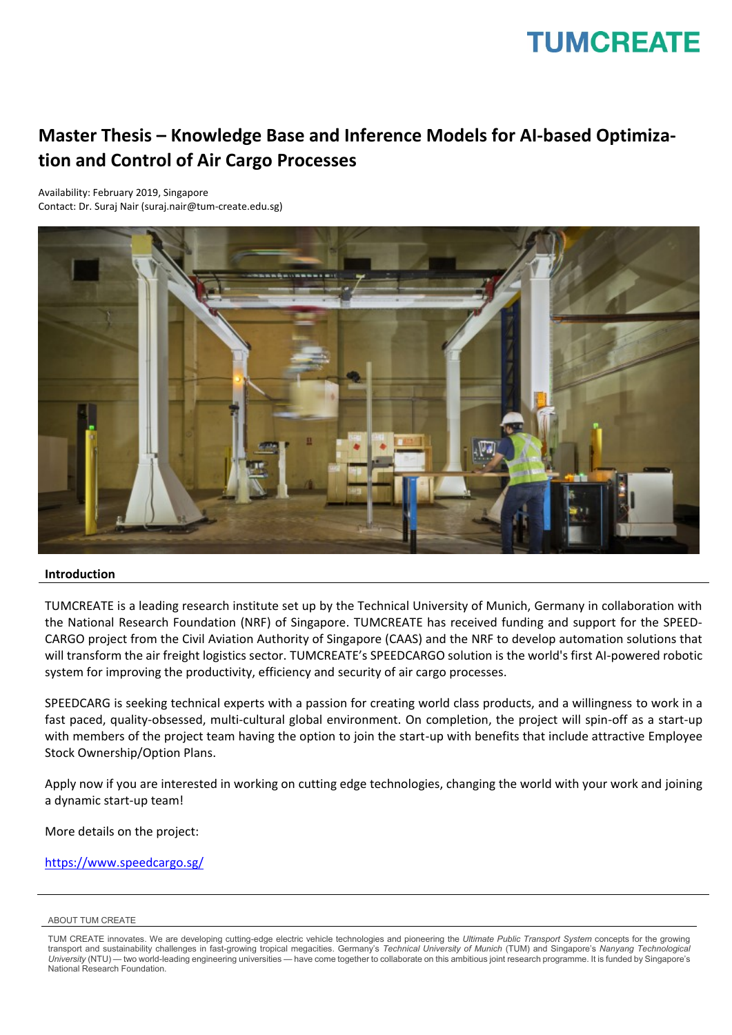## **TUMCREATE**

### **Master Thesis – Knowledge Base and Inference Models for AI-based Optimization and Control of Air Cargo Processes**

Availability: February 2019, Singapore Contact: Dr. Suraj Nair (suraj.nair@tum-create.edu.sg)



#### **Introduction**

TUMCREATE is a leading research institute set up by the Technical University of Munich, Germany in collaboration with the National Research Foundation (NRF) of Singapore. TUMCREATE has received funding and support for the SPEED-CARGO project from the Civil Aviation Authority of Singapore (CAAS) and the NRF to develop automation solutions that will transform the air freight logistics sector. TUMCREATE's SPEEDCARGO solution is the world's first AI-powered robotic system for improving the productivity, efficiency and security of air cargo processes.

SPEEDCARG is seeking technical experts with a passion for creating world class products, and a willingness to work in a fast paced, quality-obsessed, multi-cultural global environment. On completion, the project will spin-off as a start-up with members of the project team having the option to join the start-up with benefits that include attractive Employee Stock Ownership/Option Plans.

Apply now if you are interested in working on cutting edge technologies, changing the world with your work and joining a dynamic start-up team!

More details on the project:

<https://www.speedcargo.sg/>

#### ABOUT TUM CREATE

TUM CREATE innovates. We are developing cutting-edge electric vehicle technologies and pioneering the *Ultimate Public Transport System* concepts for the growing transport and sustainability challenges in fast-growing tropical megacities. Germany's *Technical University of Munich* (TUM) and Singapore's *Nanyang Technological University* (NTU) — two world-leading engineering universities — have come together to collaborate on this ambitious joint research programme. It is funded by Singapore's National Research Foundation.